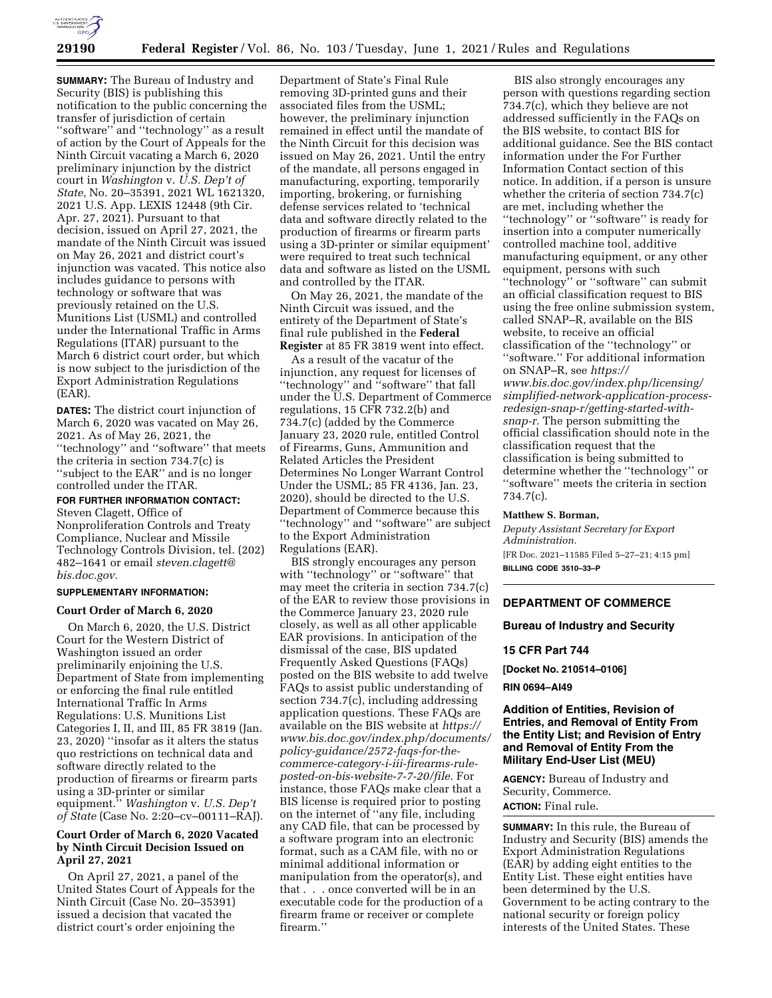

**SUMMARY:** The Bureau of Industry and Security (BIS) is publishing this notification to the public concerning the transfer of jurisdiction of certain ''software'' and ''technology'' as a result of action by the Court of Appeals for the Ninth Circuit vacating a March 6, 2020 preliminary injunction by the district court in *Washington* v. *U.S. Dep't of State,* No. 20–35391, 2021 WL 1621320, 2021 U.S. App. LEXIS 12448 (9th Cir. Apr. 27, 2021). Pursuant to that decision, issued on April 27, 2021, the mandate of the Ninth Circuit was issued on May 26, 2021 and district court's injunction was vacated. This notice also includes guidance to persons with technology or software that was previously retained on the U.S. Munitions List (USML) and controlled under the International Traffic in Arms Regulations (ITAR) pursuant to the March 6 district court order, but which is now subject to the jurisdiction of the Export Administration Regulations (EAR).

**DATES:** The district court injunction of March 6, 2020 was vacated on May 26, 2021. As of May 26, 2021, the ''technology'' and ''software'' that meets the criteria in section 734.7(c) is ''subject to the EAR'' and is no longer controlled under the ITAR. **FOR FURTHER INFORMATION CONTACT:**  Steven Clagett, Office of Nonproliferation Controls and Treaty

Compliance, Nuclear and Missile Technology Controls Division, tel. (202) 482–1641 or email *[steven.clagett@](mailto:steven.clagett@bis.doc.gov) [bis.doc.gov.](mailto:steven.clagett@bis.doc.gov)* 

# **SUPPLEMENTARY INFORMATION:**

#### **Court Order of March 6, 2020**

On March 6, 2020, the U.S. District Court for the Western District of Washington issued an order preliminarily enjoining the U.S. Department of State from implementing or enforcing the final rule entitled International Traffic In Arms Regulations: U.S. Munitions List Categories I, II, and III, 85 FR 3819 (Jan. 23, 2020) ''insofar as it alters the status quo restrictions on technical data and software directly related to the production of firearms or firearm parts using a 3D-printer or similar equipment.'' *Washington* v. *U.S. Dep't of State* (Case No. 2:20–cv–00111–RAJ).

### **Court Order of March 6, 2020 Vacated by Ninth Circuit Decision Issued on April 27, 2021**

On April 27, 2021, a panel of the United States Court of Appeals for the Ninth Circuit (Case No. 20–35391) issued a decision that vacated the district court's order enjoining the

Department of State's Final Rule removing 3D-printed guns and their associated files from the USML; however, the preliminary injunction remained in effect until the mandate of the Ninth Circuit for this decision was issued on May 26, 2021. Until the entry of the mandate, all persons engaged in manufacturing, exporting, temporarily importing, brokering, or furnishing defense services related to 'technical data and software directly related to the production of firearms or firearm parts using a 3D-printer or similar equipment' were required to treat such technical data and software as listed on the USML and controlled by the ITAR.

On May 26, 2021, the mandate of the Ninth Circuit was issued, and the entirety of the Department of State's final rule published in the **Federal Register** at 85 FR 3819 went into effect.

As a result of the vacatur of the injunction, any request for licenses of ''technology'' and ''software'' that fall under the U.S. Department of Commerce regulations, 15 CFR 732.2(b) and 734.7(c) (added by the Commerce January 23, 2020 rule, entitled Control of Firearms, Guns, Ammunition and Related Articles the President Determines No Longer Warrant Control Under the USML; 85 FR 4136, Jan. 23, 2020), should be directed to the U.S. Department of Commerce because this ''technology'' and ''software'' are subject to the Export Administration Regulations (EAR).

BIS strongly encourages any person with ''technology'' or ''software'' that may meet the criteria in section 734.7(c) of the EAR to review those provisions in the Commerce January 23, 2020 rule closely, as well as all other applicable EAR provisions. In anticipation of the dismissal of the case, BIS updated Frequently Asked Questions (FAQs) posted on the BIS website to add twelve FAQs to assist public understanding of section 734.7(c), including addressing application questions. These FAQs are available on the BIS website at *[https://](https://www.bis.doc.gov/index.php/documents/policy-guidance/2572-faqs-for-the-commerce-category-i-iii-firearms-rule-posted-on-bis-website-7-7-20/file)  [www.bis.doc.gov/index.php/documents/](https://www.bis.doc.gov/index.php/documents/policy-guidance/2572-faqs-for-the-commerce-category-i-iii-firearms-rule-posted-on-bis-website-7-7-20/file)  [policy-guidance/2572-faqs-for-the](https://www.bis.doc.gov/index.php/documents/policy-guidance/2572-faqs-for-the-commerce-category-i-iii-firearms-rule-posted-on-bis-website-7-7-20/file)[commerce-category-i-iii-firearms-rule](https://www.bis.doc.gov/index.php/documents/policy-guidance/2572-faqs-for-the-commerce-category-i-iii-firearms-rule-posted-on-bis-website-7-7-20/file)[posted-on-bis-website-7-7-20/file.](https://www.bis.doc.gov/index.php/documents/policy-guidance/2572-faqs-for-the-commerce-category-i-iii-firearms-rule-posted-on-bis-website-7-7-20/file)* For instance, those FAQs make clear that a BIS license is required prior to posting on the internet of ''any file, including any CAD file, that can be processed by a software program into an electronic format, such as a CAM file, with no or minimal additional information or manipulation from the operator(s), and that . . . once converted will be in an executable code for the production of a firearm frame or receiver or complete firearm.''

BIS also strongly encourages any person with questions regarding section 734.7(c), which they believe are not addressed sufficiently in the FAQs on the BIS website, to contact BIS for additional guidance. See the BIS contact information under the For Further Information Contact section of this notice. In addition, if a person is unsure whether the criteria of section 734.7(c) are met, including whether the ''technology'' or ''software'' is ready for insertion into a computer numerically controlled machine tool, additive manufacturing equipment, or any other equipment, persons with such ''technology'' or ''software'' can submit an official classification request to BIS using the free online submission system, called SNAP–R, available on the BIS website, to receive an official classification of the ''technology'' or ''software.'' For additional information on SNAP–R, see *[https://](https://www.bis.doc.gov/index.php/licensing/simplified-network-application-process-redesign-snap-r/getting-started-with-snap-r) [www.bis.doc.gov/index.php/licensing/](https://www.bis.doc.gov/index.php/licensing/simplified-network-application-process-redesign-snap-r/getting-started-with-snap-r)  [simplified-network-application-process](https://www.bis.doc.gov/index.php/licensing/simplified-network-application-process-redesign-snap-r/getting-started-with-snap-r)[redesign-snap-r/getting-started-with](https://www.bis.doc.gov/index.php/licensing/simplified-network-application-process-redesign-snap-r/getting-started-with-snap-r)[snap-r.](https://www.bis.doc.gov/index.php/licensing/simplified-network-application-process-redesign-snap-r/getting-started-with-snap-r)* The person submitting the official classification should note in the classification request that the classification is being submitted to determine whether the ''technology'' or ''software'' meets the criteria in section 734.7(c).

#### **Matthew S. Borman,**

*Deputy Assistant Secretary for Export Administration.*  [FR Doc. 2021–11585 Filed 5–27–21; 4:15 pm] **BILLING CODE 3510–33–P** 

#### **DEPARTMENT OF COMMERCE**

### **Bureau of Industry and Security**

# **15 CFR Part 744**

**[Docket No. 210514–0106]** 

### **RIN 0694–AI49**

## **Addition of Entities, Revision of Entries, and Removal of Entity From the Entity List; and Revision of Entry and Removal of Entity From the Military End-User List (MEU)**

**AGENCY:** Bureau of Industry and Security, Commerce. **ACTION:** Final rule.

**SUMMARY:** In this rule, the Bureau of Industry and Security (BIS) amends the Export Administration Regulations (EAR) by adding eight entities to the Entity List. These eight entities have been determined by the U.S. Government to be acting contrary to the national security or foreign policy interests of the United States. These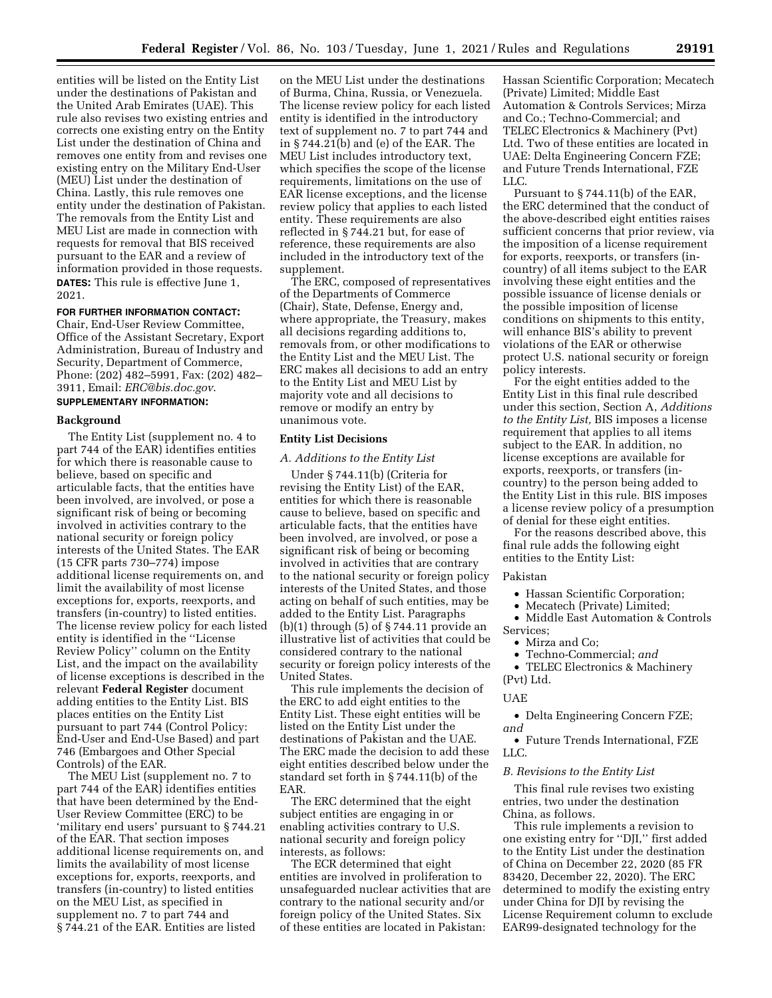entities will be listed on the Entity List under the destinations of Pakistan and the United Arab Emirates (UAE). This rule also revises two existing entries and corrects one existing entry on the Entity List under the destination of China and removes one entity from and revises one existing entry on the Military End-User (MEU) List under the destination of China. Lastly, this rule removes one entity under the destination of Pakistan. The removals from the Entity List and MEU List are made in connection with requests for removal that BIS received pursuant to the EAR and a review of information provided in those requests. **DATES:** This rule is effective June 1, 2021.

#### **FOR FURTHER INFORMATION CONTACT:**

Chair, End-User Review Committee, Office of the Assistant Secretary, Export Administration, Bureau of Industry and Security, Department of Commerce, Phone: (202) 482–5991, Fax: (202) 482– 3911, Email: *[ERC@bis.doc.gov](mailto:ERC@bis.doc.gov)*.

# **SUPPLEMENTARY INFORMATION:**

#### **Background**

The Entity List (supplement no. 4 to part 744 of the EAR) identifies entities for which there is reasonable cause to believe, based on specific and articulable facts, that the entities have been involved, are involved, or pose a significant risk of being or becoming involved in activities contrary to the national security or foreign policy interests of the United States. The EAR (15 CFR parts 730–774) impose additional license requirements on, and limit the availability of most license exceptions for, exports, reexports, and transfers (in-country) to listed entities. The license review policy for each listed entity is identified in the ''License Review Policy'' column on the Entity List, and the impact on the availability of license exceptions is described in the relevant **Federal Register** document adding entities to the Entity List. BIS places entities on the Entity List pursuant to part 744 (Control Policy: End-User and End-Use Based) and part 746 (Embargoes and Other Special Controls) of the EAR.

The MEU List (supplement no. 7 to part 744 of the EAR) identifies entities that have been determined by the End-User Review Committee (ERC) to be 'military end users' pursuant to § 744.21 of the EAR. That section imposes additional license requirements on, and limits the availability of most license exceptions for, exports, reexports, and transfers (in-country) to listed entities on the MEU List, as specified in supplement no. 7 to part 744 and § 744.21 of the EAR. Entities are listed

on the MEU List under the destinations of Burma, China, Russia, or Venezuela. The license review policy for each listed entity is identified in the introductory text of supplement no. 7 to part 744 and in § 744.21(b) and (e) of the EAR. The MEU List includes introductory text, which specifies the scope of the license requirements, limitations on the use of EAR license exceptions, and the license review policy that applies to each listed entity. These requirements are also reflected in § 744.21 but, for ease of reference, these requirements are also included in the introductory text of the supplement.

The ERC, composed of representatives of the Departments of Commerce (Chair), State, Defense, Energy and, where appropriate, the Treasury, makes all decisions regarding additions to, removals from, or other modifications to the Entity List and the MEU List. The ERC makes all decisions to add an entry to the Entity List and MEU List by majority vote and all decisions to remove or modify an entry by unanimous vote.

### **Entity List Decisions**

#### *A. Additions to the Entity List*

Under § 744.11(b) (Criteria for revising the Entity List) of the EAR, entities for which there is reasonable cause to believe, based on specific and articulable facts, that the entities have been involved, are involved, or pose a significant risk of being or becoming involved in activities that are contrary to the national security or foreign policy interests of the United States, and those acting on behalf of such entities, may be added to the Entity List. Paragraphs (b)(1) through (5) of § 744.11 provide an illustrative list of activities that could be considered contrary to the national security or foreign policy interests of the United States.

This rule implements the decision of the ERC to add eight entities to the Entity List. These eight entities will be listed on the Entity List under the destinations of Pakistan and the UAE. The ERC made the decision to add these eight entities described below under the standard set forth in § 744.11(b) of the EAR.

The ERC determined that the eight subject entities are engaging in or enabling activities contrary to U.S. national security and foreign policy interests, as follows:

The ECR determined that eight entities are involved in proliferation to unsafeguarded nuclear activities that are contrary to the national security and/or foreign policy of the United States. Six of these entities are located in Pakistan:

Hassan Scientific Corporation; Mecatech (Private) Limited; Middle East Automation & Controls Services; Mirza and Co.; Techno-Commercial; and TELEC Electronics & Machinery (Pvt) Ltd. Two of these entities are located in UAE: Delta Engineering Concern FZE; and Future Trends International, FZE LLC.

Pursuant to § 744.11(b) of the EAR, the ERC determined that the conduct of the above-described eight entities raises sufficient concerns that prior review, via the imposition of a license requirement for exports, reexports, or transfers (incountry) of all items subject to the EAR involving these eight entities and the possible issuance of license denials or the possible imposition of license conditions on shipments to this entity, will enhance BIS's ability to prevent violations of the EAR or otherwise protect U.S. national security or foreign policy interests.

For the eight entities added to the Entity List in this final rule described under this section, Section A, *Additions to the Entity List,* BIS imposes a license requirement that applies to all items subject to the EAR. In addition, no license exceptions are available for exports, reexports, or transfers (incountry) to the person being added to the Entity List in this rule. BIS imposes a license review policy of a presumption of denial for these eight entities.

For the reasons described above, this final rule adds the following eight entities to the Entity List:

#### Pakistan

- Hassan Scientific Corporation;
- Mecatech (Private) Limited;
- Middle East Automation & Controls Services;
	- Mirza and Co;
	- Techno-Commercial; *and*

• TELEC Electronics & Machinery (Pvt) Ltd.

#### UAE

• Delta Engineering Concern FZE; *and* 

• Future Trends International, FZE LLC.

#### *B. Revisions to the Entity List*

This final rule revises two existing entries, two under the destination China, as follows.

This rule implements a revision to one existing entry for ''DJI,'' first added to the Entity List under the destination of China on December 22, 2020 (85 FR 83420, December 22, 2020). The ERC determined to modify the existing entry under China for DJI by revising the License Requirement column to exclude EAR99-designated technology for the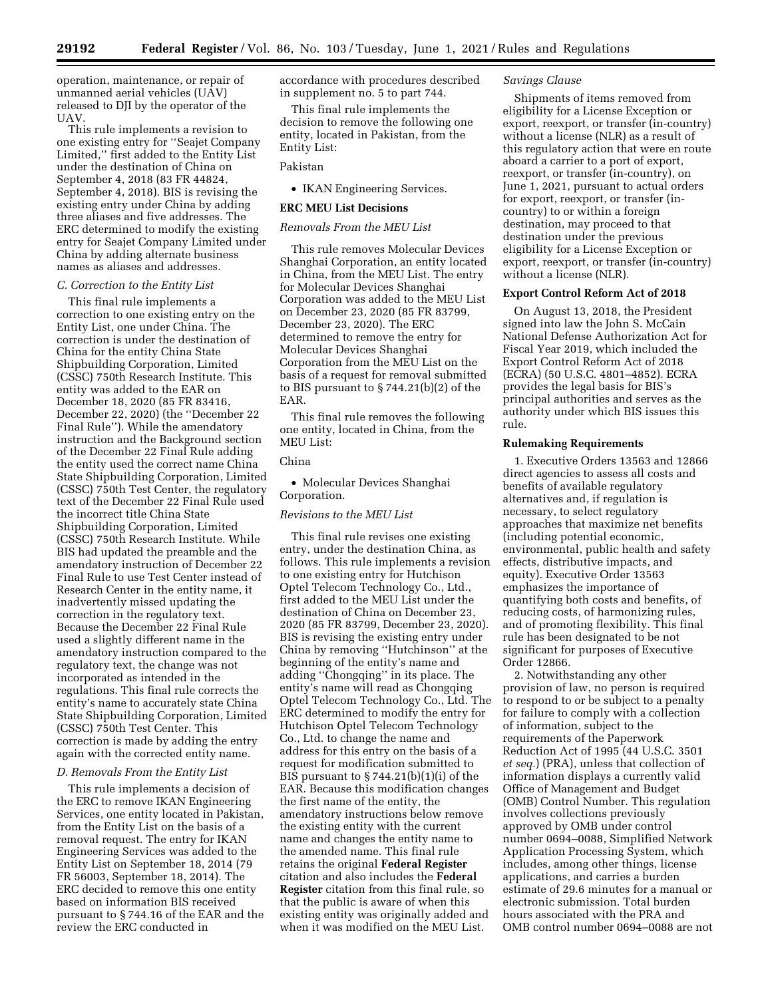operation, maintenance, or repair of unmanned aerial vehicles (UAV) released to DJI by the operator of the UAV.

This rule implements a revision to one existing entry for ''Seajet Company Limited,'' first added to the Entity List under the destination of China on September 4, 2018 (83 FR 44824, September 4, 2018). BIS is revising the existing entry under China by adding three aliases and five addresses. The ERC determined to modify the existing entry for Seajet Company Limited under China by adding alternate business names as aliases and addresses.

# *C. Correction to the Entity List*

This final rule implements a correction to one existing entry on the Entity List, one under China. The correction is under the destination of China for the entity China State Shipbuilding Corporation, Limited (CSSC) 750th Research Institute. This entity was added to the EAR on December 18, 2020 (85 FR 83416, December 22, 2020) (the ''December 22 Final Rule''). While the amendatory instruction and the Background section of the December 22 Final Rule adding the entity used the correct name China State Shipbuilding Corporation, Limited (CSSC) 750th Test Center, the regulatory text of the December 22 Final Rule used the incorrect title China State Shipbuilding Corporation, Limited (CSSC) 750th Research Institute. While BIS had updated the preamble and the amendatory instruction of December 22 Final Rule to use Test Center instead of Research Center in the entity name, it inadvertently missed updating the correction in the regulatory text. Because the December 22 Final Rule used a slightly different name in the amendatory instruction compared to the regulatory text, the change was not incorporated as intended in the regulations. This final rule corrects the entity's name to accurately state China State Shipbuilding Corporation, Limited (CSSC) 750th Test Center. This correction is made by adding the entry again with the corrected entity name.

### *D. Removals From the Entity List*

This rule implements a decision of the ERC to remove IKAN Engineering Services, one entity located in Pakistan, from the Entity List on the basis of a removal request. The entry for IKAN Engineering Services was added to the Entity List on September 18, 2014 (79 FR 56003, September 18, 2014). The ERC decided to remove this one entity based on information BIS received pursuant to § 744.16 of the EAR and the review the ERC conducted in

accordance with procedures described in supplement no. 5 to part 744.

This final rule implements the decision to remove the following one entity, located in Pakistan, from the Entity List:

# Pakistan

• IKAN Engineering Services.

### **ERC MEU List Decisions**

# *Removals From the MEU List*

This rule removes Molecular Devices Shanghai Corporation, an entity located in China, from the MEU List. The entry for Molecular Devices Shanghai Corporation was added to the MEU List on December 23, 2020 (85 FR 83799, December 23, 2020). The ERC determined to remove the entry for Molecular Devices Shanghai Corporation from the MEU List on the basis of a request for removal submitted to BIS pursuant to § 744.21(b)(2) of the EAR.

This final rule removes the following one entity, located in China, from the MEU List:

### China

• Molecular Devices Shanghai Corporation.

#### *Revisions to the MEU List*

This final rule revises one existing entry, under the destination China, as follows. This rule implements a revision to one existing entry for Hutchison Optel Telecom Technology Co., Ltd., first added to the MEU List under the destination of China on December 23, 2020 (85 FR 83799, December 23, 2020). BIS is revising the existing entry under China by removing ''Hutchinson'' at the beginning of the entity's name and adding ''Chongqing'' in its place. The entity's name will read as Chongqing Optel Telecom Technology Co., Ltd. The ERC determined to modify the entry for Hutchison Optel Telecom Technology Co., Ltd. to change the name and address for this entry on the basis of a request for modification submitted to BIS pursuant to  $\S 744.21(b)(1)(i)$  of the EAR. Because this modification changes the first name of the entity, the amendatory instructions below remove the existing entity with the current name and changes the entity name to the amended name. This final rule retains the original **Federal Register**  citation and also includes the **Federal Register** citation from this final rule, so that the public is aware of when this existing entity was originally added and when it was modified on the MEU List.

### *Savings Clause*

Shipments of items removed from eligibility for a License Exception or export, reexport, or transfer (in-country) without a license (NLR) as a result of this regulatory action that were en route aboard a carrier to a port of export, reexport, or transfer (in-country), on June 1, 2021, pursuant to actual orders for export, reexport, or transfer (incountry) to or within a foreign destination, may proceed to that destination under the previous eligibility for a License Exception or export, reexport, or transfer (in-country) without a license (NLR).

#### **Export Control Reform Act of 2018**

On August 13, 2018, the President signed into law the John S. McCain National Defense Authorization Act for Fiscal Year 2019, which included the Export Control Reform Act of 2018 (ECRA) (50 U.S.C. 4801–4852). ECRA provides the legal basis for BIS's principal authorities and serves as the authority under which BIS issues this rule.

### **Rulemaking Requirements**

1. Executive Orders 13563 and 12866 direct agencies to assess all costs and benefits of available regulatory alternatives and, if regulation is necessary, to select regulatory approaches that maximize net benefits (including potential economic, environmental, public health and safety effects, distributive impacts, and equity). Executive Order 13563 emphasizes the importance of quantifying both costs and benefits, of reducing costs, of harmonizing rules, and of promoting flexibility. This final rule has been designated to be not significant for purposes of Executive Order 12866.

2. Notwithstanding any other provision of law, no person is required to respond to or be subject to a penalty for failure to comply with a collection of information, subject to the requirements of the Paperwork Reduction Act of 1995 (44 U.S.C. 3501 *et seq.*) (PRA), unless that collection of information displays a currently valid Office of Management and Budget (OMB) Control Number. This regulation involves collections previously approved by OMB under control number 0694–0088, Simplified Network Application Processing System, which includes, among other things, license applications, and carries a burden estimate of 29.6 minutes for a manual or electronic submission. Total burden hours associated with the PRA and OMB control number 0694–0088 are not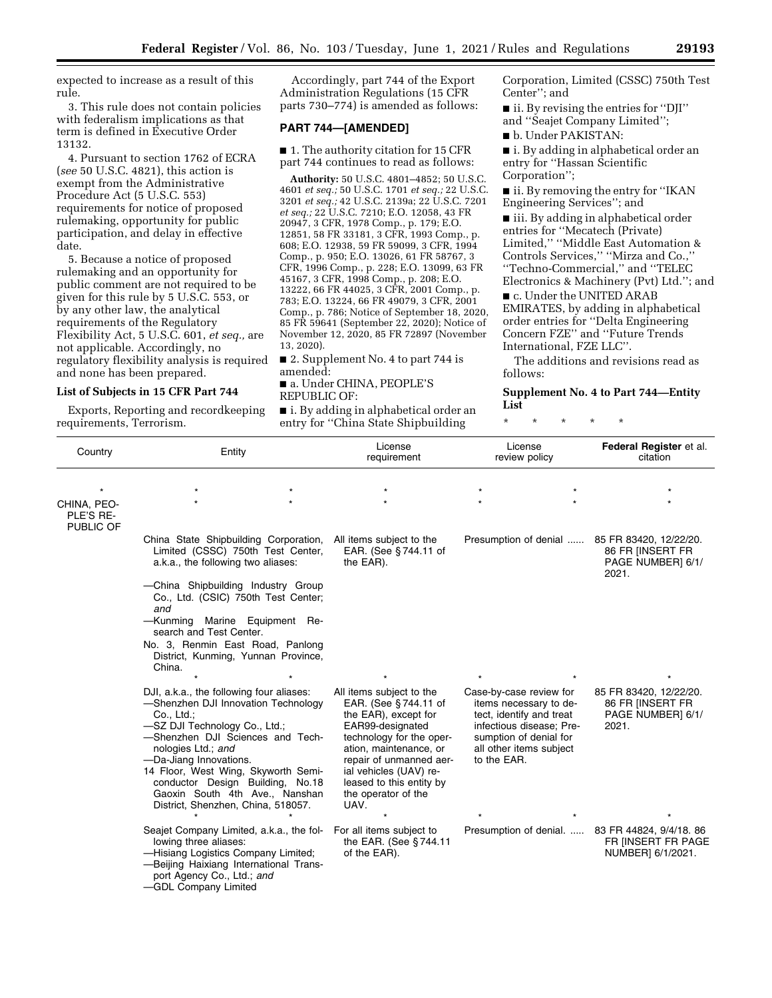expected to increase as a result of this rule.

3. This rule does not contain policies with federalism implications as that term is defined in Executive Order 13132.

4. Pursuant to section 1762 of ECRA (*see* 50 U.S.C. 4821), this action is exempt from the Administrative Procedure Act (5 U.S.C. 553) requirements for notice of proposed rulemaking, opportunity for public participation, and delay in effective date.

5. Because a notice of proposed rulemaking and an opportunity for public comment are not required to be given for this rule by 5 U.S.C. 553, or by any other law, the analytical requirements of the Regulatory Flexibility Act, 5 U.S.C. 601, *et seq.,* are not applicable. Accordingly, no regulatory flexibility analysis is required and none has been prepared.

## **List of Subjects in 15 CFR Part 744**

Exports, Reporting and recordkeeping requirements, Terrorism.

Accordingly, part 744 of the Export Administration Regulations (15 CFR parts 730–774) is amended as follows:

#### **PART 744—[AMENDED]**

■ 1. The authority citation for 15 CFR part 744 continues to read as follows:

**Authority:** 50 U.S.C. 4801–4852; 50 U.S.C. 4601 *et seq.;* 50 U.S.C. 1701 *et seq.;* 22 U.S.C. 3201 *et seq.;* 42 U.S.C. 2139a; 22 U.S.C. 7201 *et seq.;* 22 U.S.C. 7210; E.O. 12058, 43 FR 20947, 3 CFR, 1978 Comp., p. 179; E.O. 12851, 58 FR 33181, 3 CFR, 1993 Comp., p. 608; E.O. 12938, 59 FR 59099, 3 CFR, 1994 Comp., p. 950; E.O. 13026, 61 FR 58767, 3 CFR, 1996 Comp., p. 228; E.O. 13099, 63 FR 45167, 3 CFR, 1998 Comp., p. 208; E.O. 13222, 66 FR 44025, 3 CFR, 2001 Comp., p. 783; E.O. 13224, 66 FR 49079, 3 CFR, 2001 Comp., p. 786; Notice of September 18, 2020, 85 FR 59641 (September 22, 2020); Notice of November 12, 2020, 85 FR 72897 (November 13, 2020).

■ 2. Supplement No. 4 to part 744 is amended:

■ a. Under CHINA, PEOPLE'S REPUBLIC OF:

■ i. By adding in alphabetical order an entry for ''China State Shipbuilding

Corporation, Limited (CSSC) 750th Test Center''; and

■ ii. By revising the entries for "DJI" and ''Seajet Company Limited'';

■ b. Under PAKISTAN:

■ i. By adding in alphabetical order an entry for ''Hassan Scientific Corporation'';

■ ii. By removing the entry for "IKAN Engineering Services''; and

■ iii. By adding in alphabetical order entries for ''Mecatech (Private) Limited,'' ''Middle East Automation & Controls Services,'' ''Mirza and Co.,'' ''Techno-Commercial,'' and ''TELEC Electronics & Machinery (Pvt) Ltd.''; and

■ c. Under the UNITED ARAB EMIRATES, by adding in alphabetical order entries for ''Delta Engineering Concern FZE'' and ''Future Trends International, FZE LLC''.

The additions and revisions read as follows:

**Supplement No. 4 to Part 744—Entity List** 

\* \* \* \* \*

| Country                  | Entity                                                                                                                                                                                                                                                                                                                                                                | License<br>requirement                                                                                                                                                                                                                                             | License<br>review policy                                                                                                                                                      | Federal Register et al.<br>citation                                      |
|--------------------------|-----------------------------------------------------------------------------------------------------------------------------------------------------------------------------------------------------------------------------------------------------------------------------------------------------------------------------------------------------------------------|--------------------------------------------------------------------------------------------------------------------------------------------------------------------------------------------------------------------------------------------------------------------|-------------------------------------------------------------------------------------------------------------------------------------------------------------------------------|--------------------------------------------------------------------------|
| CHINA, PEO-<br>PLE'S RE- |                                                                                                                                                                                                                                                                                                                                                                       |                                                                                                                                                                                                                                                                    |                                                                                                                                                                               |                                                                          |
| PUBLIC OF                | China State Shipbuilding Corporation,<br>Limited (CSSC) 750th Test Center,<br>a.k.a., the following two aliases:<br>-China Shipbuilding Industry Group<br>Co., Ltd. (CSIC) 750th Test Center;<br>and<br>-Kunming Marine Equipment Re-<br>search and Test Center.<br>No. 3, Renmin East Road, Panlong<br>District, Kunming, Yunnan Province,<br>China.                 | All items subject to the<br>EAR. (See §744.11 of<br>the EAR).                                                                                                                                                                                                      | Presumption of denial                                                                                                                                                         | 85 FR 83420, 12/22/20.<br>86 FR INSERT FR<br>PAGE NUMBER] 6/1/<br>2021.  |
|                          | DJI, a.k.a., the following four aliases:<br>-Shenzhen DJI Innovation Technology<br>Co., Ltd.;<br>-SZ DJI Technology Co., Ltd.;<br>-Shenzhen DJI Sciences and Tech-<br>nologies Ltd.; and<br>-Da-Jiang Innovations.<br>14 Floor, West Wing, Skyworth Semi-<br>conductor Design Building, No.18<br>Gaoxin South 4th Ave., Nanshan<br>District, Shenzhen, China, 518057. | All items subject to the<br>EAR. (See §744.11 of<br>the EAR), except for<br>EAR99-designated<br>technology for the oper-<br>ation, maintenance, or<br>repair of unmanned aer-<br>ial vehicles (UAV) re-<br>leased to this entity by<br>the operator of the<br>UAV. | Case-by-case review for<br>items necessary to de-<br>tect, identify and treat<br>infectious disease; Pre-<br>sumption of denial for<br>all other items subject<br>to the EAR. | 85 FR 83420, 12/22/20.<br>86 FR IINSERT FR<br>PAGE NUMBER] 6/1/<br>2021. |
|                          | Seajet Company Limited, a.k.a., the fol-<br>lowing three aliases:<br>-Hisiang Logistics Company Limited;<br>-Beijing Haixiang International Trans-<br>port Agency Co., Ltd.; and<br>-GDL Company Limited                                                                                                                                                              | For all items subject to<br>the EAR. (See §744.11<br>of the EAR).                                                                                                                                                                                                  | Presumption of denial.                                                                                                                                                        | 83 FR 44824, 9/4/18. 86<br>FR INSERT FR PAGE<br>NUMBER] 6/1/2021.        |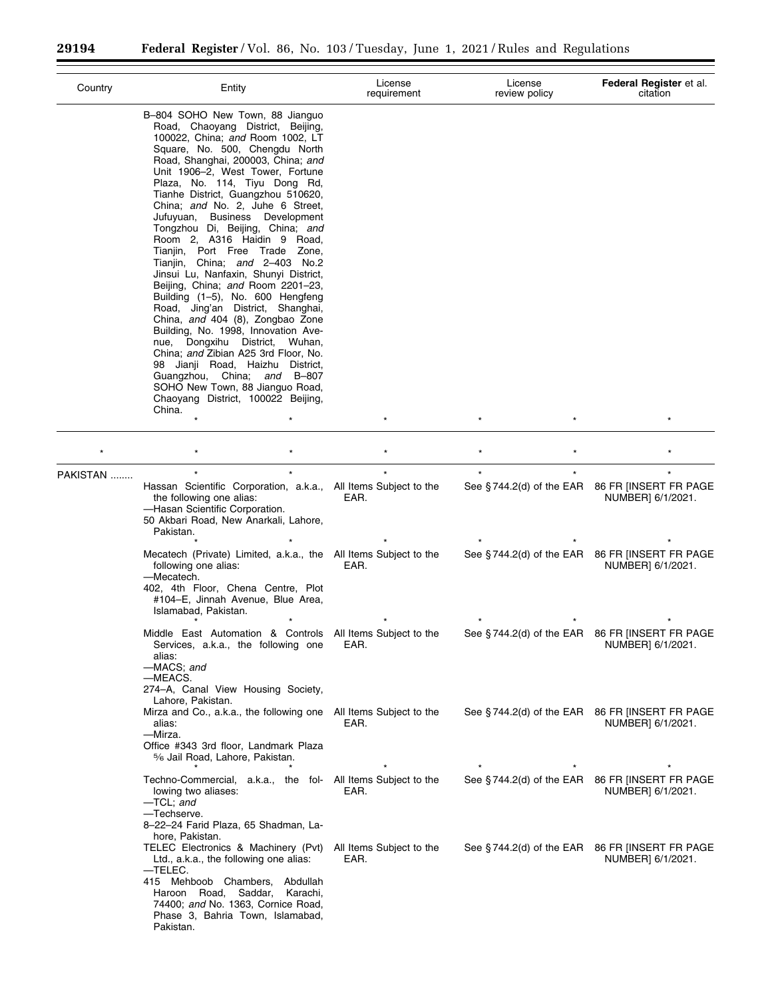$\equiv$ 

▀

| Country  | Entity                                                                                                                                                                                                                                                                                                                                                                                                                                                                                                                                                                                                                                                                                                                                                                                                                                                                                                                                                                     | License<br>requirement           | License<br>review policy | Federal Register et al.<br>citation                                            |
|----------|----------------------------------------------------------------------------------------------------------------------------------------------------------------------------------------------------------------------------------------------------------------------------------------------------------------------------------------------------------------------------------------------------------------------------------------------------------------------------------------------------------------------------------------------------------------------------------------------------------------------------------------------------------------------------------------------------------------------------------------------------------------------------------------------------------------------------------------------------------------------------------------------------------------------------------------------------------------------------|----------------------------------|--------------------------|--------------------------------------------------------------------------------|
|          | B-804 SOHO New Town, 88 Jianguo<br>Road, Chaoyang District, Beijing,<br>100022, China; and Room 1002, LT<br>Square, No. 500, Chengdu North<br>Road, Shanghai, 200003, China; and<br>Unit 1906-2, West Tower, Fortune<br>Plaza, No. 114, Tiyu Dong Rd,<br>Tianhe District, Guangzhou 510620,<br>China; and No. 2, Juhe 6 Street,<br>Jufuyuan, Business Development<br>Tongzhou Di, Beijing, China; and<br>Room 2, A316 Haidin 9 Road,<br>Tianjin, Port Free Trade Zone,<br>Tianjin, China; and 2-403 No.2<br>Jinsui Lu, Nanfaxin, Shunyi District,<br>Beijing, China; and Room 2201-23,<br>Building (1-5), No. 600 Hengfeng<br>Road, Jing'an District, Shanghai,<br>China, and 404 (8), Zongbao Zone<br>Building, No. 1998, Innovation Ave-<br>nue, Dongxihu District, Wuhan,<br>China; and Zibian A25 3rd Floor, No.<br>98 Jianji Road, Haizhu District,<br>Guangzhou, China; and B-807<br>SOHO New Town, 88 Jianguo Road,<br>Chaoyang District, 100022 Beijing,<br>China. |                                  |                          |                                                                                |
|          |                                                                                                                                                                                                                                                                                                                                                                                                                                                                                                                                                                                                                                                                                                                                                                                                                                                                                                                                                                            |                                  |                          | $\star$                                                                        |
|          |                                                                                                                                                                                                                                                                                                                                                                                                                                                                                                                                                                                                                                                                                                                                                                                                                                                                                                                                                                            |                                  |                          |                                                                                |
| PAKISTAN |                                                                                                                                                                                                                                                                                                                                                                                                                                                                                                                                                                                                                                                                                                                                                                                                                                                                                                                                                                            |                                  | $\star$                  | $\star$                                                                        |
|          | Hassan Scientific Corporation, a.k.a., All Items Subject to the<br>the following one alias:<br>-Hasan Scientific Corporation.<br>50 Akbari Road, New Anarkali, Lahore,<br>Pakistan.                                                                                                                                                                                                                                                                                                                                                                                                                                                                                                                                                                                                                                                                                                                                                                                        | EAR.                             |                          | See §744.2(d) of the EAR 86 FR [INSERT FR PAGE<br>NUMBER] 6/1/2021.            |
|          | Mecatech (Private) Limited, a.k.a., the All Items Subject to the<br>following one alias:<br>-Mecatech.<br>402, 4th Floor, Chena Centre, Plot<br>#104-E, Jinnah Avenue, Blue Area,<br>Islamabad, Pakistan.                                                                                                                                                                                                                                                                                                                                                                                                                                                                                                                                                                                                                                                                                                                                                                  | EAR.                             |                          | See §744.2(d) of the EAR 86 FR [INSERT FR PAGE<br>NUMBER] 6/1/2021.            |
|          | Middle East Automation & Controls All Items Subject to the<br>Services, a.k.a., the following one<br>alias:<br>-MACS; and<br>—MEACS.<br>274-A, Canal View Housing Society,                                                                                                                                                                                                                                                                                                                                                                                                                                                                                                                                                                                                                                                                                                                                                                                                 | EAR.                             |                          | See §744.2(d) of the EAR 86 FR [INSERT FR PAGE<br>NUMBER] 6/1/2021.            |
|          | Lahore, Pakistan.<br>Mirza and Co., a.k.a., the following one All Items Subject to the<br>alias:<br>-Mirza.<br>Office #343 3rd floor, Landmark Plaza<br>5% Jail Road, Lahore, Pakistan.                                                                                                                                                                                                                                                                                                                                                                                                                                                                                                                                                                                                                                                                                                                                                                                    | EAR.                             | $\star$                  | See §744.2(d) of the EAR 86 FR [INSERT FR PAGE<br>NUMBER] 6/1/2021.<br>$\star$ |
|          | Techno-Commercial, a.k.a., the fol- All Items Subject to the<br>lowing two aliases:<br>-TCL; and<br>-Techserve.<br>8-22-24 Farid Plaza, 65 Shadman, La-<br>hore, Pakistan.                                                                                                                                                                                                                                                                                                                                                                                                                                                                                                                                                                                                                                                                                                                                                                                                 | EAR.                             |                          | See §744.2(d) of the EAR 86 FR [INSERT FR PAGE<br>NUMBER] 6/1/2021.            |
|          | TELEC Electronics & Machinery (Pvt)<br>Ltd., a.k.a., the following one alias:<br>—TELEC.<br>415 Mehboob Chambers,<br>Abdullah<br>Haroon Road, Saddar,<br>Karachi,<br>74400; and No. 1363, Cornice Road,<br>Phase 3, Bahria Town, Islamabad,<br>Pakistan.                                                                                                                                                                                                                                                                                                                                                                                                                                                                                                                                                                                                                                                                                                                   | All Items Subject to the<br>EAR. |                          | See §744.2(d) of the EAR 86 FR [INSERT FR PAGE<br>NUMBER] 6/1/2021.            |